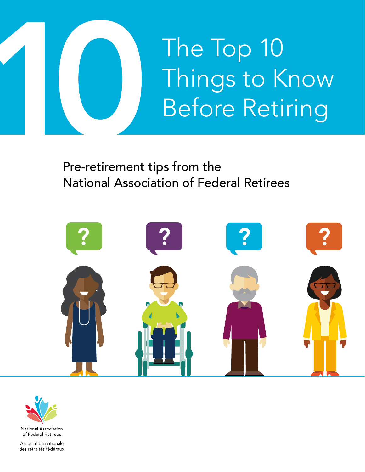

Pre-retirement tips from the National Association of Federal Retirees





Association nationale des retraités fédéraux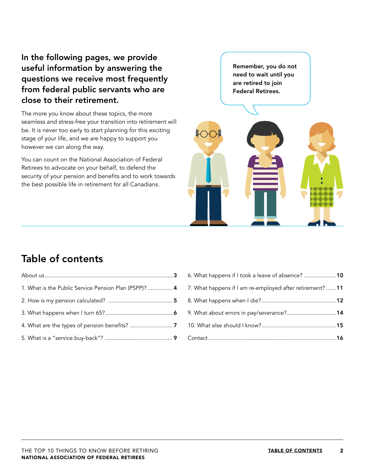### In the following pages, we provide useful information by answering the questions we receive most frequently from federal public servants who are close to their retirement.

The more you know about these topics, the more seamless and stress-free your transition into retirement will be. It is never too early to start planning for this exciting stage of your life, and we are happy to support you however we can along the way.

You can count on the National Association of Federal Retirees to advocate on your behalf, to defend the security of your pension and benefits and to work towards the best possible life in retirement for all Canadians.

Remember, you do not need to wait until you are retired to join Federal Retirees.



### Table of contents

| 1. What is the Public Service Pension Plan (PSPP)?  4 |  |
|-------------------------------------------------------|--|
|                                                       |  |
|                                                       |  |
|                                                       |  |
|                                                       |  |

| 6. What happens if I took a leave of absence?  10         |  |
|-----------------------------------------------------------|--|
| 7. What happens if I am re-employed after retirement?  11 |  |
|                                                           |  |
| 9. What about errors in pay/severance? 14                 |  |
|                                                           |  |
|                                                           |  |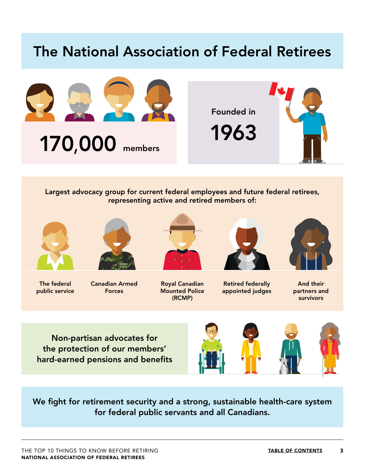### <span id="page-2-0"></span>The National Association of Federal Retirees





Largest advocacy group for current federal employees and future federal retirees, representing active and retired members of:



The federal public service



Canadian Armed Forces



Royal Canadian Mounted Police (RCMP)



Retired federally appointed judges



And their partners and survivors

Non-partisan advocates for the protection of our members' hard-earned pensions and benefits



We fight for retirement security and a strong, sustainable health-care system for federal public servants and all Canadians.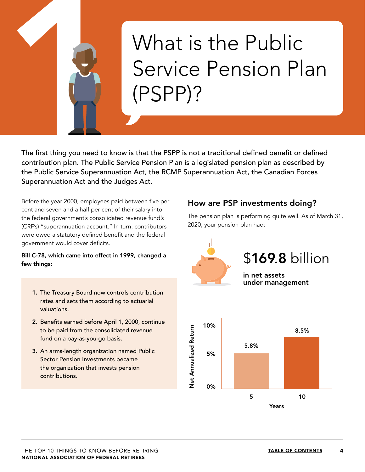# <span id="page-3-0"></span>What is the Public Service Pension Plan (PSPP)?

The first thing you need to know is that the PSPP is not a traditional defined benefit or defined contribution plan. The Public Service Pension Plan is a legislated pension plan as described by the Public Service Superannuation Act, the RCMP Superannuation Act, the Canadian Forces Superannuation Act and the Judges Act.

Before the year 2000, employees paid between five per cent and seven and a half per cent of their salary into the federal government's consolidated revenue fund's (CRF's) "superannuation account." In turn, contributors were owed a statutory defined benefit and the federal government would cover deficits.

#### Bill C-78, which came into effect in 1999, changed a few things:

- 1. The Treasury Board now controls contribution rates and sets them according to actuarial valuations.
- 2. Benefits earned before April 1, 2000, continue to be paid from the consolidated revenue fund on a pay-as-you-go basis.
- 3. An arms-length organization named Public Sector Pension Investments became the organization that invests pension contributions.

#### How are PSP investments doing?

The pension plan is performing quite well. As of March 31, 2020, your pension plan had:

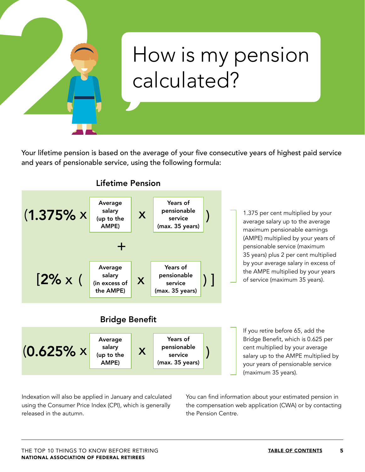

## <span id="page-4-0"></span>How is my pension calculated?

Your lifetime pension is based on the average of your five consecutive years of highest paid service and years of pensionable service, using the following formula:



Indexation will also be applied in January and calculated using the Consumer Price Index (CPI), which is generally released in the autumn.

You can find information about your estimated pension in the compensation web application (CWA) or by contacting the Pension Centre.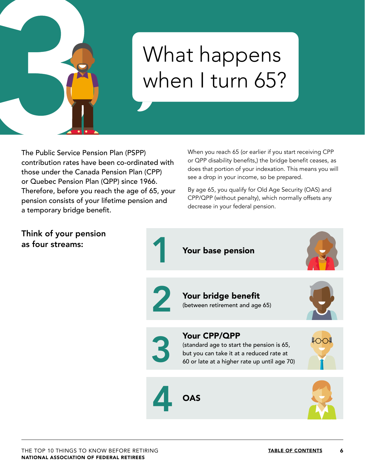

Think of your pension

as four streams:

# <span id="page-5-0"></span>What happens when I turn 65?

The Public Service Pension Plan (PSPP) contribution rates have been co-ordinated with those under the Canada Pension Plan (CPP) or Quebec Pension Plan (QPP) since 1966. Therefore, before you reach the age of 65, your pension consists of your lifetime pension and a temporary bridge benefit.

When you reach 65 (or earlier if you start receiving CPP or QPP disability benefits,) the bridge benefit ceases, as does that portion of your indexation. This means you will see a drop in your income, so be prepared.

By age 65, you qualify for Old Age Security (OAS) and CPP/QPP (without penalty), which normally offsets any decrease in your federal pension.

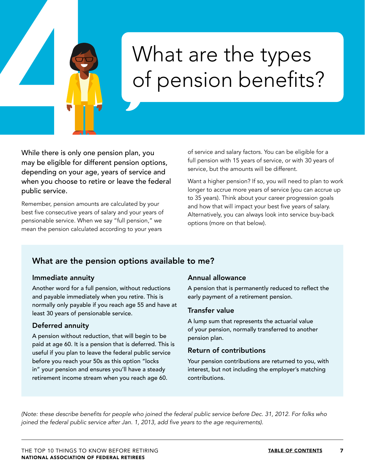# <span id="page-6-0"></span>What are the types of pension benefits?

While there is only one pension plan, you may be eligible for different pension options, depending on your age, years of service and when you choose to retire or leave the federal public service.

Remember, pension amounts are calculated by your best five consecutive years of salary and your years of pensionable service. When we say "full pension," we mean the pension calculated according to your years

of service and salary factors. You can be eligible for a full pension with 15 years of service, or with 30 years of service, but the amounts will be different.

Want a higher pension? If so, you will need to plan to work longer to accrue more years of service (you can accrue up to 35 years). Think about your career progression goals and how that will impact your best five years of salary. Alternatively, you can always look into service buy-back options (more on that below).

### What are the pension options available to me?

#### Immediate annuity

Another word for a full pension, without reductions and payable immediately when you retire. This is normally only payable if you reach age 55 and have at least 30 years of pensionable service.

#### Deferred annuity

A pension without reduction, that will begin to be paid at age 60. It is a pension that is deferred. This is useful if you plan to leave the federal public service before you reach your 50s as this option "locks in" your pension and ensures you'll have a steady retirement income stream when you reach age 60.

#### Annual allowance

A pension that is permanently reduced to reflect the early payment of a retirement pension.

#### Transfer value

A lump sum that represents the actuarial value of your pension, normally transferred to another pension plan.

#### Return of contributions

Your pension contributions are returned to you, with interest, but not including the employer's matching contributions.

(Note: these describe benefits for people who joined the federal public service before Dec. 31, 2012. For folks who joined the federal public service after Jan. 1, 2013, add five years to the age requirements).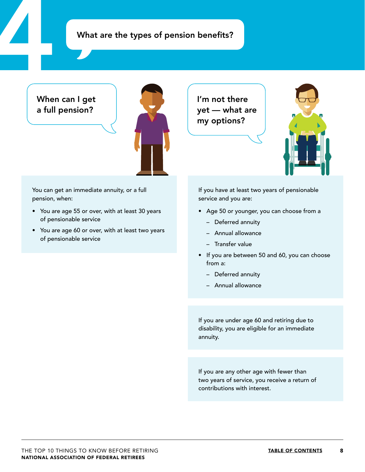### What are the types of pension benefits?

### When can I get a full pension?



You can get an immediate annuity, or a full pension, when:

- You are age 55 or over, with at least 30 years of pensionable service
- You are age 60 or over, with at least two years of pensionable service

I'm not there yet — what are my options?



If you have at least two years of pensionable service and you are:

- Age 50 or younger, you can choose from a
	- Deferred annuity
	- Annual allowance
	- Transfer value
- If you are between 50 and 60, you can choose from a:
	- Deferred annuity
	- Annual allowance

If you are under age 60 and retiring due to disability, you are eligible for an immediate annuity.

If you are any other age with fewer than two years of service, you receive a return of contributions with interest.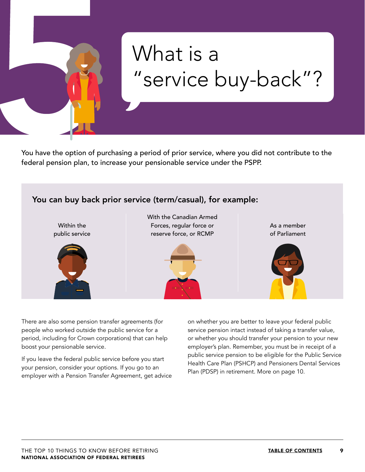# <span id="page-8-0"></span>What is a "service buy-back"?

You have the option of purchasing a period of prior service, where you did not contribute to the federal pension plan, to increase your pensionable service under the PSPP.



There are also some pension transfer agreements (for people who worked outside the public service for a period, including for Crown corporations) that can help boost your pensionable service.

If you leave the federal public service before you start your pension, consider your options. If you go to an employer with a Pension Transfer Agreement, get advice on whether you are better to leave your federal public service pension intact instead of taking a transfer value, or whether you should transfer your pension to your new employer's plan. Remember, you must be in receipt of a public service pension to be eligible for the Public Service Health Care Plan (PSHCP) and Pensioners Dental Services Plan (PDSP) in retirement. More on page 10.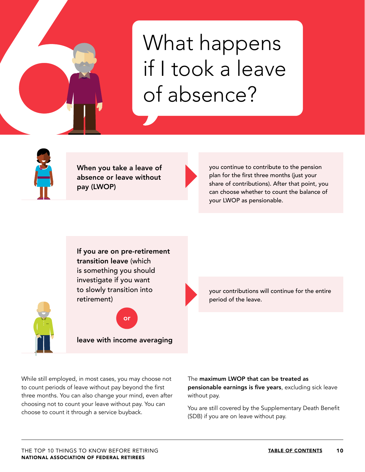

# <span id="page-9-0"></span>What happens if I took a leave of absence?



When you take a leave of absence or leave without pay (LWOP)

you continue to contribute to the pension plan for the first three months (just your share of contributions). After that point, you can choose whether to count the balance of your LWOP as pensionable.

If you are on pre-retirement transition leave (which is something you should investigate if you want to slowly transition into retirement)

leave with income averaging

or

your contributions will continue for the entire period of the leave.

While still employed, in most cases, you may choose not to count periods of leave without pay beyond the first three months. You can also change your mind, even after choosing not to count your leave without pay. You can choose to count it through a service buyback.

The maximum LWOP that can be treated as pensionable earnings is five years, excluding sick leave without pay.

You are still covered by the Supplementary Death Benefit (SDB) if you are on leave without pay.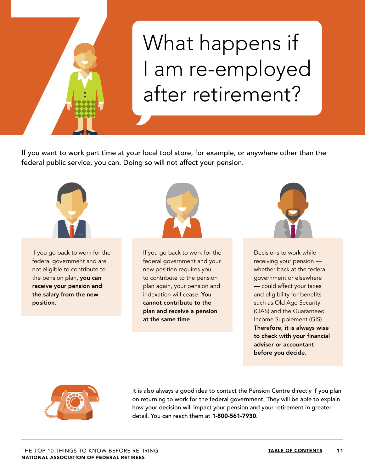

# <span id="page-10-0"></span>What happens if I am re-employed after retirement?

If you want to work part time at your local tool store, for example, or anywhere other than the federal public service, you can. Doing so will not affect your pension.



If you go back to work for the federal government and are not eligible to contribute to the pension plan, you can receive your pension and the salary from the new position.



If you go back to work for the federal government and your new position requires you to contribute to the pension plan again, your pension and indexation will cease. You cannot contribute to the plan and receive a pension at the same time.



Decisions to work while receiving your pension whether back at the federal government or elsewhere — could affect your taxes and eligibility for benefits such as Old Age Security (OAS) and the Guaranteed Income Supplement (GIS). Therefore, it is always wise to check with your financial adviser or accountant before you decide.



It is also always a good idea to contact the Pension Centre directly if you plan on returning to work for the federal government. They will be able to explain how your decision will impact your pension and your retirement in greater detail. You can reach them at 1-800-561-7930.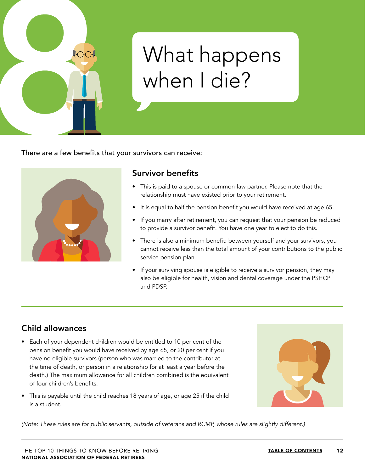

## <span id="page-11-0"></span>What happens when I die?

There are a few benefits that your survivors can receive:



### Survivor benefits

- This is paid to a spouse or common-law partner. Please note that the relationship must have existed prior to your retirement.
- It is equal to half the pension benefit you would have received at age 65.
- If you marry after retirement, you can request that your pension be reduced to provide a survivor benefit. You have one year to elect to do this.
- There is also a minimum benefit: between yourself and your survivors, you cannot receive less than the total amount of your contributions to the public service pension plan.
- If your surviving spouse is eligible to receive a survivor pension, they may also be eligible for health, vision and dental coverage under the PSHCP and PDSP.

### Child allowances

- Each of your dependent children would be entitled to 10 per cent of the pension benefit you would have received by age 65, or 20 per cent if you have no eligible survivors (person who was married to the contributor at the time of death, or person in a relationship for at least a year before the death.) The maximum allowance for all children combined is the equivalent of four children's benefits.
- This is payable until the child reaches 18 years of age, or age 25 if the child is a student.



(Note: These rules are for public servants, outside of veterans and RCMP, whose rules are slightly different.)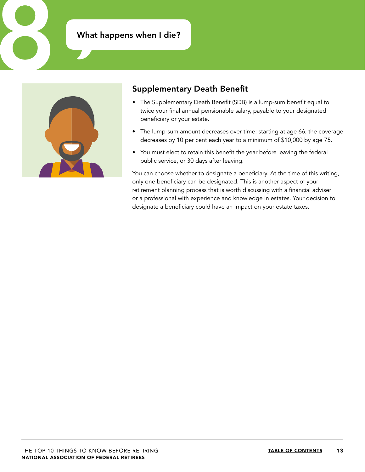### What happens when I die?



#### Supplementary Death Benefit

- The Supplementary Death Benefit (SDB) is a lump-sum benefit equal to twice your final annual pensionable salary, payable to your designated beneficiary or your estate.
- The lump-sum amount decreases over time: starting at age 66, the coverage decreases by 10 per cent each year to a minimum of \$10,000 by age 75.
- You must elect to retain this benefit the year before leaving the federal public service, or 30 days after leaving.

You can choose whether to designate a beneficiary. At the time of this writing, only one beneficiary can be designated. This is another aspect of your retirement planning process that is worth discussing with a financial adviser or a professional with experience and knowledge in estates. Your decision to designate a beneficiary could have an impact on your estate taxes.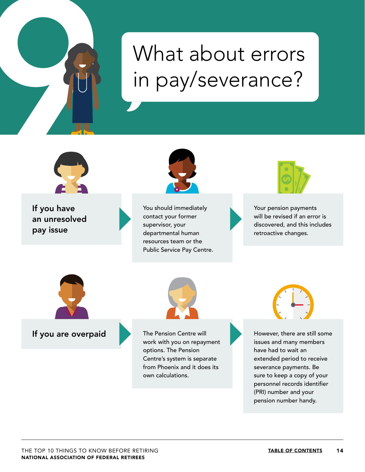# <span id="page-13-0"></span>What about errors in pay/severance?

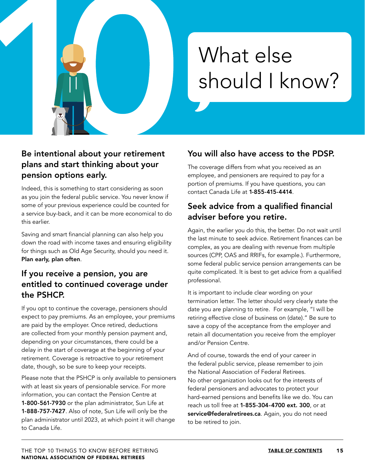<span id="page-14-0"></span>

### Be intentional about your retirement plans and start thinking about your pension options early.

Indeed, this is something to start considering as soon as you join the federal public service. You never know if some of your previous experience could be counted for a service buy-back, and it can be more economical to do this earlier.

Saving and smart financial planning can also help you down the road with income taxes and ensuring eligibility for things such as Old Age Security, should you need it. Plan early, plan often.

### If you receive a pension, you are entitled to continued coverage under the PSHCP.

If you opt to continue the coverage, pensioners should expect to pay premiums. As an employee, your premiums are paid by the employer. Once retired, deductions are collected from your monthly pension payment and, depending on your circumstances, there could be a delay in the start of coverage at the beginning of your retirement. Coverage is retroactive to your retirement date, though, so be sure to keep your receipts.

Please note that the PSHCP is only available to pensioners with at least six years of pensionable service. For more information, you can contact the Pension Centre at 1-800-561-7930 or the plan administrator, Sun Life at 1-888-757-7427. Also of note, Sun Life will only be the plan administrator until 2023, at which point it will change to Canada Life.

### You will also have access to the PDSP.

The coverage differs from what you received as an employee, and pensioners are required to pay for a portion of premiums. If you have questions, you can contact Canada Life at 1-855-415-4414.

### Seek advice from a qualified financial adviser before you retire.

Again, the earlier you do this, the better. Do not wait until the last minute to seek advice. Retirement finances can be complex, as you are dealing with revenue from multiple sources (CPP, OAS and RRIFs, for example.). Furthermore, some federal public service pension arrangements can be quite complicated. It is best to get advice from a qualified professional.

It is important to include clear wording on your termination letter. The letter should very clearly state the date you are planning to retire. For example, "I will be retiring effective close of business on (date)." Be sure to save a copy of the acceptance from the employer and retain all documentation you receive from the employer and/or Pension Centre.

And of course, towards the end of your career in the federal public service, please remember to join the National Association of Federal Retirees. No other organization looks out for the interests of federal pensioners and advocates to protect your hard-earned pensions and benefits like we do. You can reach us toll free at 1-855-304-4700 ext. 300, or at [service@federalretirees.ca](mailto:service@federalretirees.ca). Again, you do not need to be retired to join.